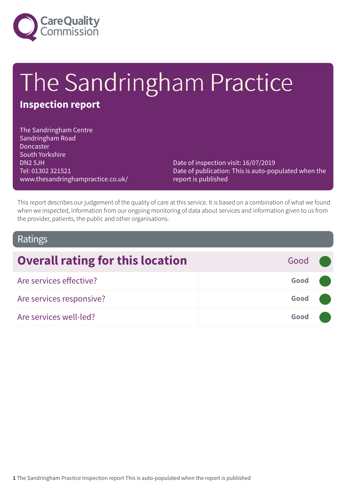

# The Sandringham Practice

# **Inspection report**

The Sandringham Centre Sandringham Road **Doncaster** South Yorkshire DN2 5JH Tel: 01302 321521 www.thesandringhampractice.co.uk/

Date of inspection visit: 16/07/2019 Date of publication: This is auto-populated when the report is published

This report describes our judgement of the quality of care at this service. It is based on a combination of what we found when we inspected, information from our ongoing monitoring of data about services and information given to us from the provider, patients, the public and other organisations.

### Ratings

| <b>Overall rating for this location</b> | Good <b>O</b> |  |
|-----------------------------------------|---------------|--|
| Are services effective?                 | Good          |  |
| Are services responsive?                | Good          |  |
| Are services well-led?                  | Good          |  |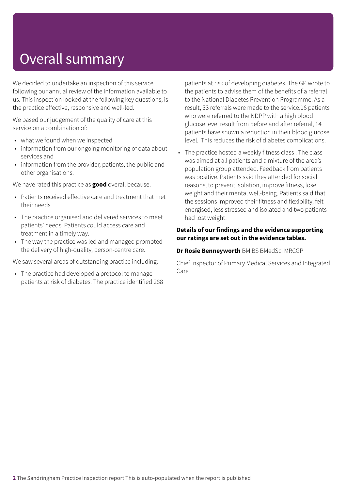# Overall summary

We decided to undertake an inspection of this service following our annual review of the information available to us. This inspection looked at the following key questions, is the practice effective, responsive and well-led.

We based our judgement of the quality of care at this service on a combination of:

- what we found when we inspected
- information from our ongoing monitoring of data about services and
- information from the provider, patients, the public and other organisations.

We have rated this practice as **good** overall because.

- Patients received effective care and treatment that met their needs
- The practice organised and delivered services to meet patients' needs. Patients could access care and treatment in a timely way.
- The way the practice was led and managed promoted the delivery of high-quality, person-centre care.

We saw several areas of outstanding practice including:

• The practice had developed a protocol to manage patients at risk of diabetes. The practice identified 288 patients at risk of developing diabetes. The GP wrote to the patients to advise them of the benefits of a referral to the National Diabetes Prevention Programme. As a result, 33 referrals were made to the service.16 patients who were referred to the NDPP with a high blood glucose level result from before and after referral, 14 patients have shown a reduction in their blood glucose level. This reduces the risk of diabetes complications.

• The practice hosted a weekly fitness class . The class was aimed at all patients and a mixture of the area's population group attended. Feedback from patients was positive. Patients said they attended for social reasons, to prevent isolation, improve fitness, lose weight and their mental well-being. Patients said that the sessions improved their fitness and flexibility, felt energised, less stressed and isolated and two patients had lost weight.

#### **Details of our findings and the evidence supporting our ratings are set out in the evidence tables.**

#### **Dr Rosie Benneyworth** BM BS BMedSci MRCGP

Chief Inspector of Primary Medical Services and Integrated Care